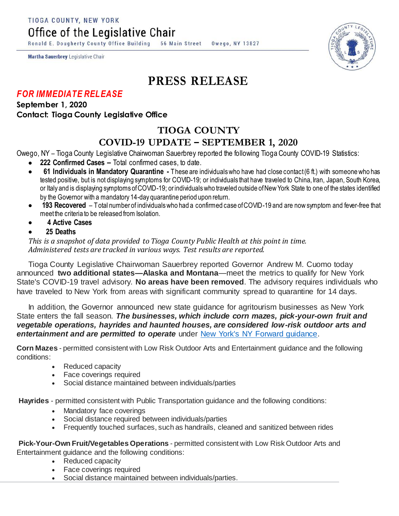TIOGA COUNTY, NEW YORK

Office of the Legislative Chair

Ronald E. Dougherty County Office Building 56 Main Street Owego, NY 13827

Martha Sauerbrey Legislative Chair

# **PRESS RELEASE**

### *FOR IMMEDIATE RELEASE*

**September 1, 2020 Contact: Tioga County Legislative Office**

## **TIOGA COUNTY COVID-19 UPDATE – SEPTEMBER 1, 2020**

Owego, NY – Tioga County Legislative Chairwoman Sauerbrey reported the following Tioga County COVID-19 Statistics:

- **222 Confirmed Cases –** Total confirmed cases, to date.
- **61 Individuals in Mandatory Quarantine -** These are individuals who have had close contact (6 ft.) with someone who has tested positive, but is not displaying symptoms for COVID-19; or individuals that have traveled to China, Iran, Japan, South Korea, or Italy and is displaying symptoms of COVID-19; or individuals who traveled outside of New York State to one of the states identified by the Governor with a mandatory 14-day quarantine period upon return.
- **193 Recovered**  Total number of individuals who had a confirmed case of COVID-19 and are now symptom and fever-free that meet the criteria to be released from Isolation.
- **4 Active Cases**
- **25 Deaths**

*This is a snapshot of data provided to Tioga County Public Health at this point in time. Administered tests are tracked in various ways. Test results are reported.*

Tioga County Legislative Chairwoman Sauerbrey reported Governor Andrew M. Cuomo today announced **two additional states—Alaska and Montana**—meet the metrics to qualify for New York State's COVID-19 travel advisory. **No areas have been removed**. The advisory requires individuals who have traveled to New York from areas with significant community spread to quarantine for 14 days.

In addition, the Governor announced new state guidance for agritourism businesses as New York State enters the fall season. *The businesses, which include corn mazes, pick-your-own fruit and vegetable operations, hayrides and haunted houses, are considered low-risk outdoor arts and*  entertainment and are permitted to operate under [New York's NY Forward guidance.](https://www.governor.ny.gov/sites/governor.ny.gov/files/atoms/files/Lowriskoutdoorartsandentertainment-MasterGuidance.pdf)

**Corn Mazes** - permitted consistent with Low Risk Outdoor Arts and Entertainment guidance and the following conditions:

- Reduced capacity
- Face coverings required
- Social distance maintained between individuals/parties

**Hayrides** - permitted consistent with Public Transportation guidance and the following conditions:

- Mandatory face coverings
- Social distance required between individuals/parties
- Frequently touched surfaces, such as handrails, cleaned and sanitized between rides

**Pick-Your-Own Fruit/Vegetables Operations** - permitted consistent with Low Risk Outdoor Arts and Entertainment guidance and the following conditions:

- Reduced capacity
- Face coverings required
- Social distance maintained between individuals/parties.